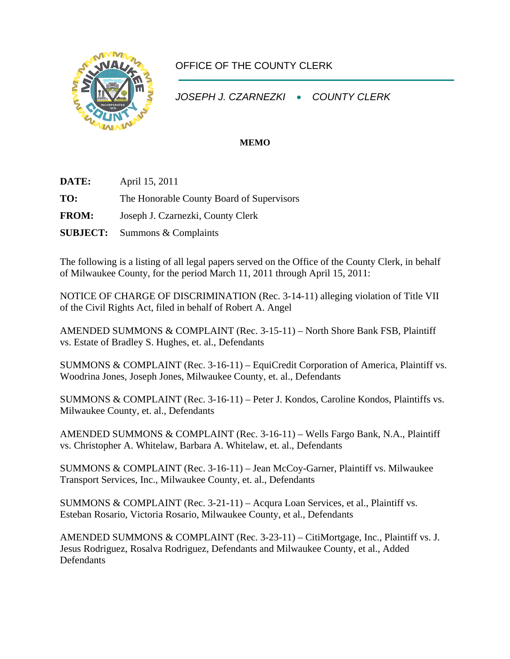

## OFFICE OF THE COUNTY CLERK

*JOSEPH J. CZARNEZKI* • *COUNTY CLERK* 

## **MEMO**

- **DATE:** April 15, 2011 **TO:** The Honorable County Board of Supervisors **FROM:** Joseph J. Czarnezki, County Clerk
- **SUBJECT:** Summons & Complaints

The following is a listing of all legal papers served on the Office of the County Clerk, in behalf of Milwaukee County, for the period March 11, 2011 through April 15, 2011:

NOTICE OF CHARGE OF DISCRIMINATION (Rec. 3-14-11) alleging violation of Title VII of the Civil Rights Act, filed in behalf of Robert A. Angel

AMENDED SUMMONS & COMPLAINT (Rec. 3-15-11) – North Shore Bank FSB, Plaintiff vs. Estate of Bradley S. Hughes, et. al., Defendants

SUMMONS & COMPLAINT (Rec. 3-16-11) – EquiCredit Corporation of America, Plaintiff vs. Woodrina Jones, Joseph Jones, Milwaukee County, et. al., Defendants

SUMMONS & COMPLAINT (Rec. 3-16-11) – Peter J. Kondos, Caroline Kondos, Plaintiffs vs. Milwaukee County, et. al., Defendants

AMENDED SUMMONS & COMPLAINT (Rec. 3-16-11) – Wells Fargo Bank, N.A., Plaintiff vs. Christopher A. Whitelaw, Barbara A. Whitelaw, et. al., Defendants

SUMMONS & COMPLAINT (Rec. 3-16-11) – Jean McCoy-Garner, Plaintiff vs. Milwaukee Transport Services, Inc., Milwaukee County, et. al., Defendants

SUMMONS & COMPLAINT (Rec. 3-21-11) – Acqura Loan Services, et al., Plaintiff vs. Esteban Rosario, Victoria Rosario, Milwaukee County, et al., Defendants

AMENDED SUMMONS & COMPLAINT (Rec. 3-23-11) – CitiMortgage, Inc., Plaintiff vs. J. Jesus Rodriguez, Rosalva Rodriguez, Defendants and Milwaukee County, et al., Added **Defendants**